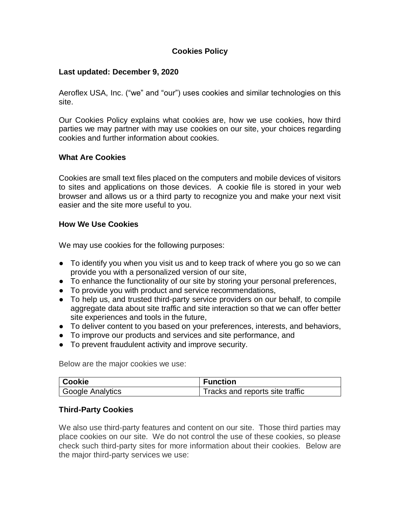# **Cookies Policy**

#### **Last updated: December 9, 2020**

Aeroflex USA, Inc. ("we" and "our") uses cookies and similar technologies on this site.

Our Cookies Policy explains what cookies are, how we use cookies, how third parties we may partner with may use cookies on our site, your choices regarding cookies and further information about cookies.

### **What Are Cookies**

Cookies are small text files placed on the computers and mobile devices of visitors to sites and applications on those devices. A cookie file is stored in your web browser and allows us or a third party to recognize you and make your next visit easier and the site more useful to you.

### **How We Use Cookies**

We may use cookies for the following purposes:

- To identify you when you visit us and to keep track of where you go so we can provide you with a personalized version of our site,
- To enhance the functionality of our site by storing your personal preferences,
- To provide you with product and service recommendations,
- To help us, and trusted third-party service providers on our behalf, to compile aggregate data about site traffic and site interaction so that we can offer better site experiences and tools in the future,
- To deliver content to you based on your preferences, interests, and behaviors,
- To improve our products and services and site performance, and
- To prevent fraudulent activity and improve security.

Below are the major cookies we use:

| Cookie                        | <b>Function</b>                 |
|-------------------------------|---------------------------------|
| <sup>1</sup> Google Analytics | Tracks and reports site traffic |

#### **Third-Party Cookies**

We also use third-party features and content on our site. Those third parties may place cookies on our site. We do not control the use of these cookies, so please check such third-party sites for more information about their cookies. Below are the major third-party services we use: